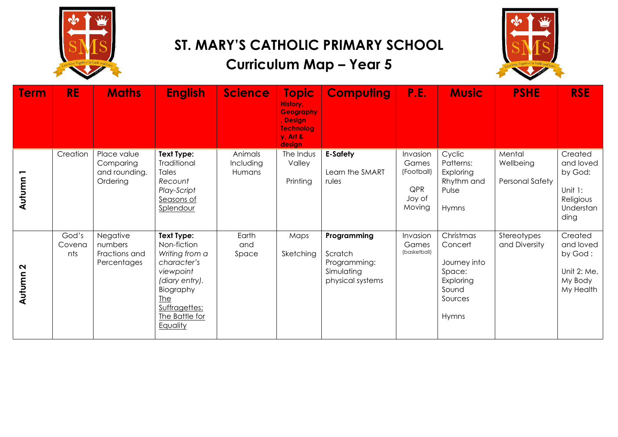

#### **ST. MARY'S CATHOLIC PRIMARY SCHOOL**

# **Curriculum Map – Year 5**



| <b>Term</b>                 | <b>RE</b>              | <b>Maths</b>                                          | <b>English</b>                                                                                                                                                      | <b>Science</b>                 | <b>Topic</b><br>History,<br><b>Geography</b><br>Design<br><b>Technolog</b><br>$y$ , Art &<br>desian | <b>Computing</b>                                                         | P.E.                                                       | <b>Music</b>                                                                             | <b>PSHE</b>                            | <b>RSE</b>                                                                   |
|-----------------------------|------------------------|-------------------------------------------------------|---------------------------------------------------------------------------------------------------------------------------------------------------------------------|--------------------------------|-----------------------------------------------------------------------------------------------------|--------------------------------------------------------------------------|------------------------------------------------------------|------------------------------------------------------------------------------------------|----------------------------------------|------------------------------------------------------------------------------|
| Autumn                      | Creation               | Place value<br>Comparing<br>and rounding.<br>Ordering | <b>Text Type:</b><br>Traditional<br>Tales<br>Recount<br>Play-Script<br>Seasons of<br>Splendour                                                                      | Animals<br>Including<br>Humans | The Indus<br>Valley<br>Printing                                                                     | <b>E-Safety</b><br>Learn the SMART<br>rules                              | Invasion<br>Games<br>(Football)<br>QPR<br>Joy of<br>Moving | Cyclic<br>Patterns:<br>Exploring<br>Rhythm and<br>Pulse<br>Hymns                         | Mental<br>Wellbeing<br>Personal Safety | Created<br>and loved<br>by God:<br>Unit 1:<br>Religious<br>Understan<br>ding |
| $\mathbf{\Omega}$<br>Autumn | God's<br>Covena<br>nts | Negative<br>numbers<br>Fractions and<br>Percentages   | Text Type:<br>Non-fiction<br>Writing from a<br>character's<br>viewpoint<br>(diary entry).<br>Biography<br><b>The</b><br>Suffragettes:<br>The Battle for<br>Equality | Earth<br>and<br>Space          | Maps<br>Sketching                                                                                   | Programming<br>Scratch<br>Programming:<br>Simulating<br>physical systems | Invasion<br>Games<br>(basketball)                          | Christmas<br>Concert<br>Journey into<br>Space:<br>Exploring<br>Sound<br>Sources<br>Hymns | Stereotypes<br>and Diversity           | Created<br>and loved<br>by God:<br>Unit 2: Me,<br>My Body<br>My Health       |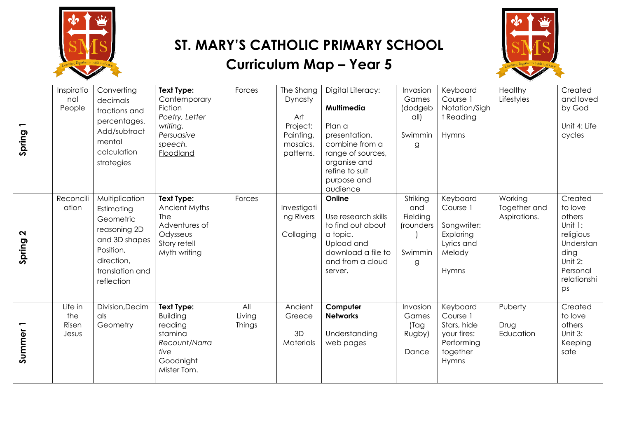

### **ST. MARY'S CATHOLIC PRIMARY SCHOOL**

## **Curriculum Map – Year 5**



| Spring 1                    | Inspiratio<br>nal<br>People      | Converting<br>decimals<br>fractions and<br>percentages.<br>Add/subtract<br>mental<br>calculation<br>strategies                         | Text Type:<br>Contemporary<br>Fiction<br>Poetry, Letter<br>writing,<br>Persuasive<br>speech.<br>Floodland | Forces                  | The Shang<br>Dynasty<br>Art<br>Project:<br>Painting,<br>mosaics,<br>patterns. | Digital Literacy:<br>Multimedia<br>Plan a<br>presentation,<br>combine from a<br>range of sources,<br>organise and<br>refine to suit<br>purpose and<br>audience | Invasion<br>Games<br>(dodgeb<br>$\alpha$ ll)<br>Swimmin<br>g | Keyboard<br>Course 1<br>Notation/Sigh<br>t Reading<br>Hymns                           | Healthy<br>Lifestyles                   | Created<br>and loved<br>by God<br>Unit 4: Life<br>cycles                                                              |
|-----------------------------|----------------------------------|----------------------------------------------------------------------------------------------------------------------------------------|-----------------------------------------------------------------------------------------------------------|-------------------------|-------------------------------------------------------------------------------|----------------------------------------------------------------------------------------------------------------------------------------------------------------|--------------------------------------------------------------|---------------------------------------------------------------------------------------|-----------------------------------------|-----------------------------------------------------------------------------------------------------------------------|
| $\mathbf{\Omega}$<br>Spring | Reconcili<br>ation               | Multiplication<br>Estimating<br>Geometric<br>reasoning 2D<br>and 3D shapes<br>Position,<br>direction,<br>translation and<br>reflection | Text Type:<br>Ancient Myths<br>The<br>Adventures of<br>Odysseus<br>Story retell<br>Myth writing           | Forces                  | Investigati<br>ng Rivers<br>Collaging                                         | Online<br>Use research skills<br>to find out about<br>a topic.<br>Upload and<br>download a file to<br>and from a cloud<br>server.                              | Striking<br>and<br>Fielding<br>(rounders<br>Swimmin<br>g     | Keyboard<br>Course 1<br>Songwriter:<br>Exploring<br>Lyrics and<br>Melody<br>Hymns     | Working<br>Together and<br>Aspirations. | Created<br>to love<br>others<br>Unit 1:<br>religious<br>Understan<br>ding<br>Unit 2:<br>Personal<br>relationshi<br>ps |
| Summer <sub>1</sub>         | Life in<br>the<br>Risen<br>Jesus | Division, Decim<br>als<br>Geometry                                                                                                     | Text Type:<br><b>Building</b><br>reading<br>stamina<br>Recount/Narra<br>tive<br>Goodnight<br>Mister Tom.  | All<br>Living<br>Things | Ancient<br>Greece<br>3D<br>Materials                                          | Computer<br><b>Networks</b><br>Understanding<br>web pages                                                                                                      | Invasion<br>Games<br>(Tag<br>Rugby)<br>Dance                 | Keyboard<br>Course 1<br>Stars, hide<br>your fires:<br>Performing<br>together<br>Hymns | Puberty<br>Drug<br>Education            | Created<br>to love<br>others<br>Unit 3:<br>Keeping<br>safe                                                            |